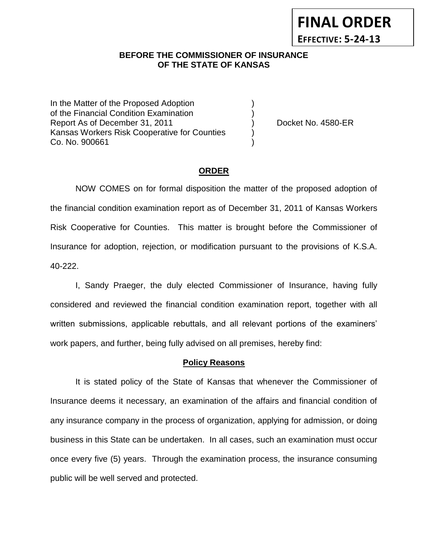#### **BEFORE THE COMMISSIONER OF INSURANCE** *-12***OF THE STATE OF KANSAS**

In the Matter of the Proposed Adoption of the Financial Condition Examination ) Report As of December 31, 2011 (and Separate Left No. 4580-ER Kansas Workers Risk Cooperative for Counties ) Co. No. 900661 )

**FINAL ORDER**

**EFFECTIVE: 5-24-13**

#### **ORDER**

NOW COMES on for formal disposition the matter of the proposed adoption of the financial condition examination report as of December 31, 2011 of Kansas Workers Risk Cooperative for Counties. This matter is brought before the Commissioner of Insurance for adoption, rejection, or modification pursuant to the provisions of K.S.A. 40-222.

I, Sandy Praeger, the duly elected Commissioner of Insurance, having fully considered and reviewed the financial condition examination report, together with all written submissions, applicable rebuttals, and all relevant portions of the examiners' work papers, and further, being fully advised on all premises, hereby find:

#### **Policy Reasons**

It is stated policy of the State of Kansas that whenever the Commissioner of Insurance deems it necessary, an examination of the affairs and financial condition of any insurance company in the process of organization, applying for admission, or doing business in this State can be undertaken. In all cases, such an examination must occur once every five (5) years. Through the examination process, the insurance consuming public will be well served and protected.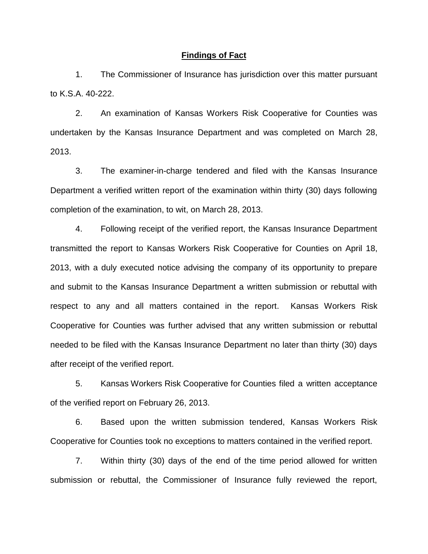#### **Findings of Fact**

1. The Commissioner of Insurance has jurisdiction over this matter pursuant to K.S.A. 40-222.

2. An examination of Kansas Workers Risk Cooperative for Counties was undertaken by the Kansas Insurance Department and was completed on March 28, 2013.

3. The examiner-in-charge tendered and filed with the Kansas Insurance Department a verified written report of the examination within thirty (30) days following completion of the examination, to wit, on March 28, 2013.

4. Following receipt of the verified report, the Kansas Insurance Department transmitted the report to Kansas Workers Risk Cooperative for Counties on April 18, 2013, with a duly executed notice advising the company of its opportunity to prepare and submit to the Kansas Insurance Department a written submission or rebuttal with respect to any and all matters contained in the report. Kansas Workers Risk Cooperative for Counties was further advised that any written submission or rebuttal needed to be filed with the Kansas Insurance Department no later than thirty (30) days after receipt of the verified report.

5. Kansas Workers Risk Cooperative for Counties filed a written acceptance of the verified report on February 26, 2013.

6. Based upon the written submission tendered, Kansas Workers Risk Cooperative for Counties took no exceptions to matters contained in the verified report.

7. Within thirty (30) days of the end of the time period allowed for written submission or rebuttal, the Commissioner of Insurance fully reviewed the report,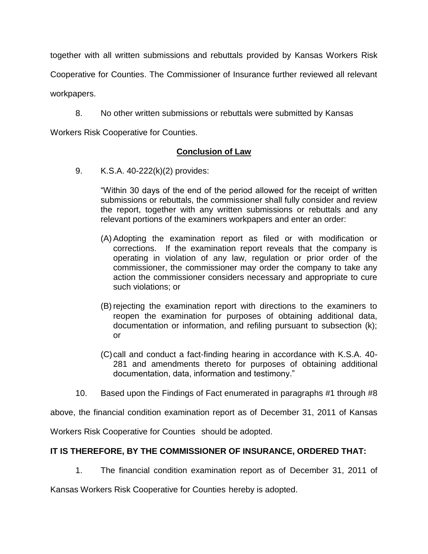together with all written submissions and rebuttals provided by Kansas Workers Risk

Cooperative for Counties. The Commissioner of Insurance further reviewed all relevant

workpapers.

8. No other written submissions or rebuttals were submitted by Kansas

Workers Risk Cooperative for Counties.

## **Conclusion of Law**

9. K.S.A. 40-222(k)(2) provides:

"Within 30 days of the end of the period allowed for the receipt of written submissions or rebuttals, the commissioner shall fully consider and review the report, together with any written submissions or rebuttals and any relevant portions of the examiners workpapers and enter an order:

- (A) Adopting the examination report as filed or with modification or corrections. If the examination report reveals that the company is operating in violation of any law, regulation or prior order of the commissioner, the commissioner may order the company to take any action the commissioner considers necessary and appropriate to cure such violations; or
- (B) rejecting the examination report with directions to the examiners to reopen the examination for purposes of obtaining additional data, documentation or information, and refiling pursuant to subsection (k); or
- (C)call and conduct a fact-finding hearing in accordance with K.S.A. 40- 281 and amendments thereto for purposes of obtaining additional documentation, data, information and testimony."
- 10. Based upon the Findings of Fact enumerated in paragraphs #1 through #8

above, the financial condition examination report as of December 31, 2011 of Kansas

Workers Risk Cooperative for Counties should be adopted.

## **IT IS THEREFORE, BY THE COMMISSIONER OF INSURANCE, ORDERED THAT:**

1. The financial condition examination report as of December 31, 2011 of

Kansas Workers Risk Cooperative for Counties hereby is adopted.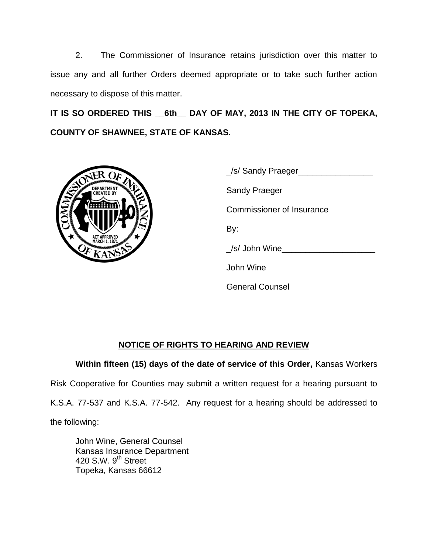2. The Commissioner of Insurance retains jurisdiction over this matter to issue any and all further Orders deemed appropriate or to take such further action necessary to dispose of this matter.

**IT IS SO ORDERED THIS \_\_6th\_\_ DAY OF MAY, 2013 IN THE CITY OF TOPEKA, COUNTY OF SHAWNEE, STATE OF KANSAS.**



| S/ Sandy Praeger          |
|---------------------------|
| Sandy Praeger             |
| Commissioner of Insurance |
| By:                       |
| /s/ John Wine             |
| John Wine                 |
| <b>General Counsel</b>    |

# **NOTICE OF RIGHTS TO HEARING AND REVIEW**

**Within fifteen (15) days of the date of service of this Order,** Kansas Workers

Risk Cooperative for Counties may submit a written request for a hearing pursuant to

K.S.A. 77-537 and K.S.A. 77-542. Any request for a hearing should be addressed to

the following:

John Wine, General Counsel Kansas Insurance Department 420 S.W. 9<sup>th</sup> Street Topeka, Kansas 66612